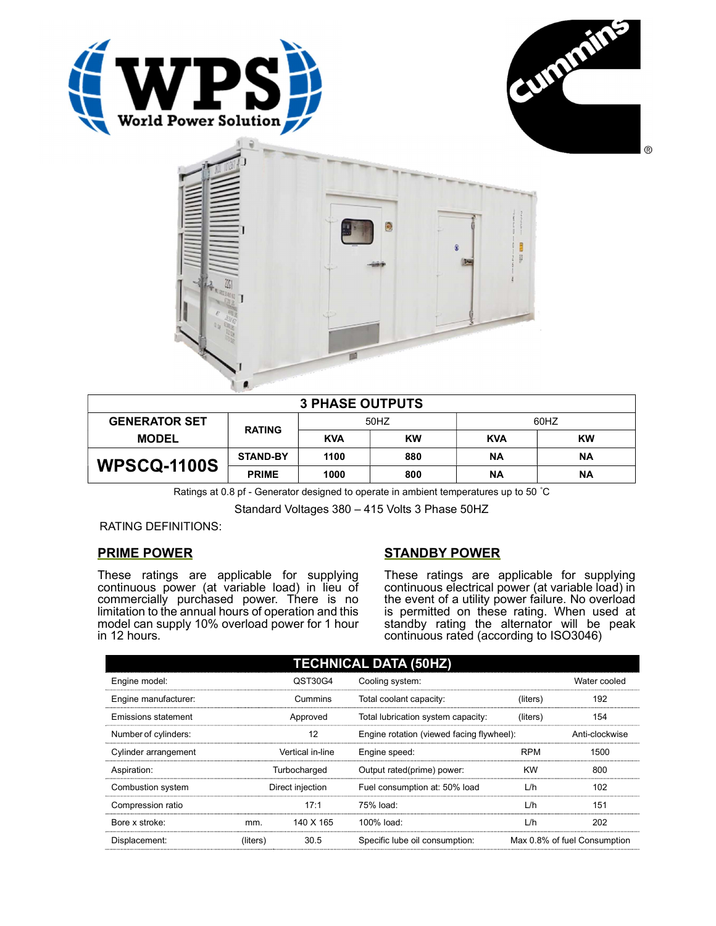





| <b>3 PHASE OUTPUTS</b> |                 |            |           |            |           |
|------------------------|-----------------|------------|-----------|------------|-----------|
| <b>GENERATOR SET</b>   | <b>RATING</b>   | 50HZ       |           | 60HZ       |           |
| <b>MODEL</b>           |                 | <b>KVA</b> | <b>KW</b> | <b>KVA</b> | <b>KW</b> |
|                        | <b>STAND-BY</b> | 1100       | 880       | ΝA         | ΝA        |
| <b>WPSCQ-1100S</b>     | <b>PRIME</b>    | 1000       | 800       | ΝA         | ΝA        |

Ratings at 0.8 pf - Generator designed to operate in ambient temperatures up to 50 °C

Standard Voltages 380 – 415 Volts 3 Phase 50HZ

RATING DEFINITIONS:

## PRIME POWER

These ratings are applicable for supplying continuous power (at variable load) in lieu of commercially purchased power. There is no limitation to the annual hours of operation and this model can supply 10% overload power for 1 hour in 12 hours.

## STANDBY POWER

These ratings are applicable for supplying continuous electrical power (at variable load) in the event of a utility power failure. No overload is permitted on these rating. When used at standby rating the alternator will be peak continuous rated (according to ISO3046)

| <b>TECHNICAL DATA (50HZ)</b> |                  |           |                                           |                |                              |
|------------------------------|------------------|-----------|-------------------------------------------|----------------|------------------------------|
| Engine model:                | QST30G4          |           | Cooling system:                           | Water cooled   |                              |
| Engine manufacturer:         | Cummins          |           | Total coolant capacity:                   | (liters)       | 192                          |
| Emissions statement          | Approved         |           | Total lubrication system capacity:        | (liters)       | 154                          |
| Number of cylinders:         | 12               |           | Engine rotation (viewed facing flywheel): | Anti-clockwise |                              |
| Cylinder arrangement         | Vertical in-line |           | Engine speed:                             | <b>RPM</b>     | 1500                         |
| Aspiration:                  | Turbocharged     |           | Output rated(prime) power:                | <b>KW</b>      | 800                          |
| Combustion system            | Direct injection |           | L/h<br>Fuel consumption at: 50% load      |                | 102                          |
| Compression ratio            |                  | 17:1      | 75% load:                                 | L/h            | 151                          |
| Bore x stroke:               | mm.              | 140 X 165 | 100% load:                                | L/h            | 202                          |
| Displacement:                | (liters)         | 30.5      | Specific lube oil consumption:            |                | Max 0.8% of fuel Consumption |